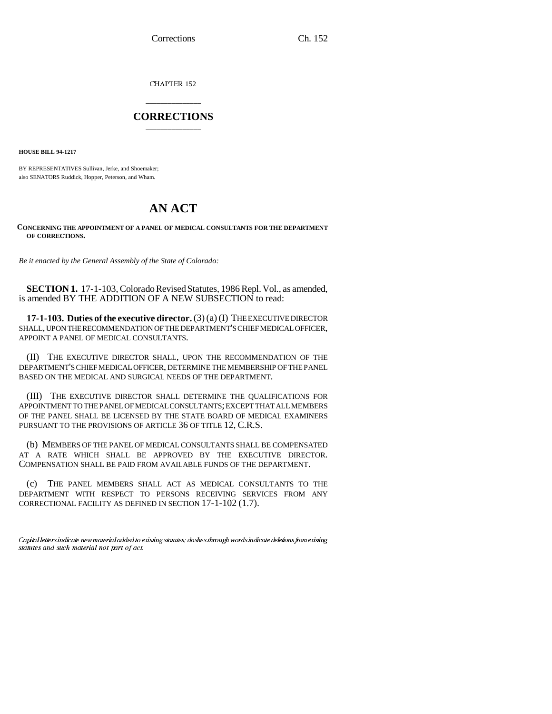CHAPTER 152

## \_\_\_\_\_\_\_\_\_\_\_\_\_\_\_ **CORRECTIONS** \_\_\_\_\_\_\_\_\_\_\_\_\_\_\_

**HOUSE BILL 94-1217**

BY REPRESENTATIVES Sullivan, Jerke, and Shoemaker; also SENATORS Ruddick, Hopper, Peterson, and Wham.

## **AN ACT**

## **CONCERNING THE APPOINTMENT OF A PANEL OF MEDICAL CONSULTANTS FOR THE DEPARTMENT OF CORRECTIONS.**

*Be it enacted by the General Assembly of the State of Colorado:*

**SECTION 1.** 17-1-103, Colorado Revised Statutes, 1986 Repl. Vol., as amended, is amended BY THE ADDITION OF A NEW SUBSECTION to read:

**17-1-103. Duties of the executive director.** (3) (a) (I) THE EXECUTIVE DIRECTOR SHALL, UPON THE RECOMMENDATION OF THE DEPARTMENT'S CHIEF MEDICAL OFFICER, APPOINT A PANEL OF MEDICAL CONSULTANTS.

(II) THE EXECUTIVE DIRECTOR SHALL, UPON THE RECOMMENDATION OF THE DEPARTMENT'S CHIEF MEDICAL OFFICER, DETERMINE THE MEMBERSHIP OF THE PANEL BASED ON THE MEDICAL AND SURGICAL NEEDS OF THE DEPARTMENT.

(III) THE EXECUTIVE DIRECTOR SHALL DETERMINE THE QUALIFICATIONS FOR APPOINTMENT TO THE PANEL OF MEDICAL CONSULTANTS; EXCEPT THAT ALL MEMBERS OF THE PANEL SHALL BE LICENSED BY THE STATE BOARD OF MEDICAL EXAMINERS PURSUANT TO THE PROVISIONS OF ARTICLE 36 OF TITLE 12, C.R.S.

COMPENSATION SHALL BE PAID FROM AVAILABLE FUNDS OF THE DEPARTMENT. (b) MEMBERS OF THE PANEL OF MEDICAL CONSULTANTS SHALL BE COMPENSATED AT A RATE WHICH SHALL BE APPROVED BY THE EXECUTIVE DIRECTOR.

(c) THE PANEL MEMBERS SHALL ACT AS MEDICAL CONSULTANTS TO THE DEPARTMENT WITH RESPECT TO PERSONS RECEIVING SERVICES FROM ANY CORRECTIONAL FACILITY AS DEFINED IN SECTION 17-1-102 (1.7).

Capital letters indicate new material added to existing statutes; dashes through words indicate deletions from existing statutes and such material not part of act.